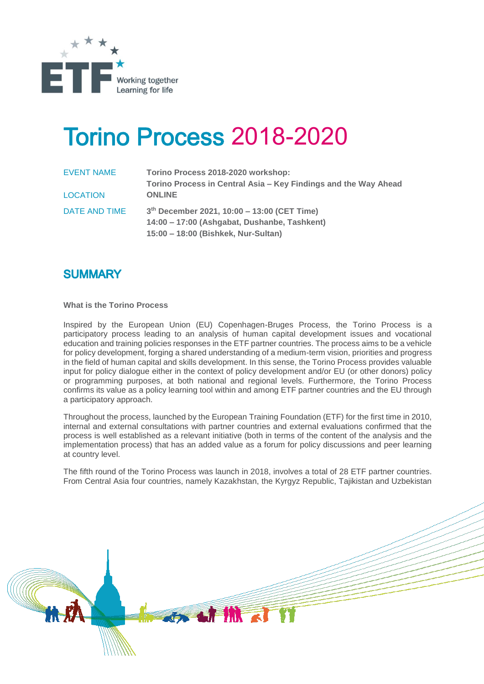

# **Torino Process 2018-2020**

| EVENT NAME      | Torino Process 2018-2020 workshop:<br>Torino Process in Central Asia - Key Findings and the Way Ahead |
|-----------------|-------------------------------------------------------------------------------------------------------|
| <b>LOCATION</b> | <b>ONLINE</b>                                                                                         |
| DATE AND TIME   | 3 <sup>th</sup> December 2021, 10:00 - 13:00 (CET Time)                                               |
|                 | 14:00 – 17:00 (Ashgabat, Dushanbe, Tashkent)                                                          |
|                 | 15:00 - 18:00 (Bishkek, Nur-Sultan)                                                                   |

### **SUMMARY**

**What is the Torino Process**

Inspired by the European Union (EU) Copenhagen-Bruges Process, the Torino Process is a participatory process leading to an analysis of human capital development issues and vocational education and training policies responses in the ETF partner countries. The process aims to be a vehicle for policy development, forging a shared understanding of a medium-term vision, priorities and progress in the field of human capital and skills development. In this sense, the Torino Process provides valuable input for policy dialogue either in the context of policy development and/or EU (or other donors) policy or programming purposes, at both national and regional levels. Furthermore, the Torino Process confirms its value as a policy learning tool within and among ETF partner countries and the EU through a participatory approach.

Throughout the process, launched by the European Training Foundation (ETF) for the first time in 2010, internal and external consultations with partner countries and external evaluations confirmed that the process is well established as a relevant initiative (both in terms of the content of the analysis and the implementation process) that has an added value as a forum for policy discussions and peer learning at country level.

The fifth round of the Torino Process was launch in 2018, involves a total of 28 ETF partner countries. From Central Asia four countries, namely Kazakhstan, the Kyrgyz Republic, Tajikistan and Uzbekistan

 $\approx$  4  $\sim$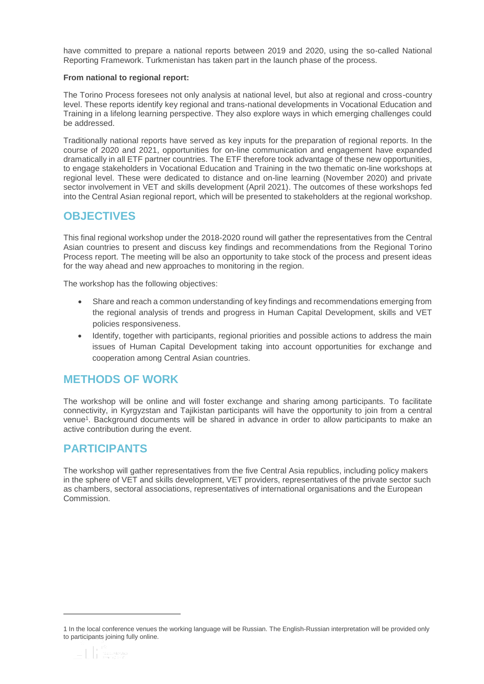have committed to prepare a national reports between 2019 and 2020, using the so-called National Reporting Framework. Turkmenistan has taken part in the launch phase of the process.

#### **From national to regional report:**

The Torino Process foresees not only analysis at national level, but also at regional and cross-country level. These reports identify key regional and trans-national developments in Vocational Education and Training in a lifelong learning perspective. They also explore ways in which emerging challenges could be addressed.

Traditionally national reports have served as key inputs for the preparation of regional reports. In the course of 2020 and 2021, opportunities for on-line communication and engagement have expanded dramatically in all ETF partner countries. The ETF therefore took advantage of these new opportunities, to engage stakeholders in Vocational Education and Training in the two thematic on-line workshops at regional level. These were dedicated to distance and on-line learning (November 2020) and private sector involvement in VET and skills development (April 2021). The outcomes of these workshops fed into the Central Asian regional report, which will be presented to stakeholders at the regional workshop.

#### **OBJECTIVES**

This final regional workshop under the 2018-2020 round will gather the representatives from the Central Asian countries to present and discuss key findings and recommendations from the Regional Torino Process report. The meeting will be also an opportunity to take stock of the process and present ideas for the way ahead and new approaches to monitoring in the region.

The workshop has the following objectives:

- Share and reach a common understanding of key findings and recommendations emerging from the regional analysis of trends and progress in Human Capital Development, skills and VET policies responsiveness.
- Identify, together with participants, regional priorities and possible actions to address the main issues of Human Capital Development taking into account opportunities for exchange and cooperation among Central Asian countries.

#### **METHODS OF WORK**

The workshop will be online and will foster exchange and sharing among participants. To facilitate connectivity, in Kyrgyzstan and Tajikistan participants will have the opportunity to join from a central venue<sup>1</sup> . Background documents will be shared in advance in order to allow participants to make an active contribution during the event.

#### **PARTICIPANTS**

1

The workshop will gather representatives from the five Central Asia republics, including policy makers in the sphere of VET and skills development, VET providers, representatives of the private sector such as chambers, sectoral associations, representatives of international organisations and the European **Commission** 

<sup>1</sup> In the local conference venues the working language will be Russian. The English-Russian interpretation will be provided only to participants joining fully online.